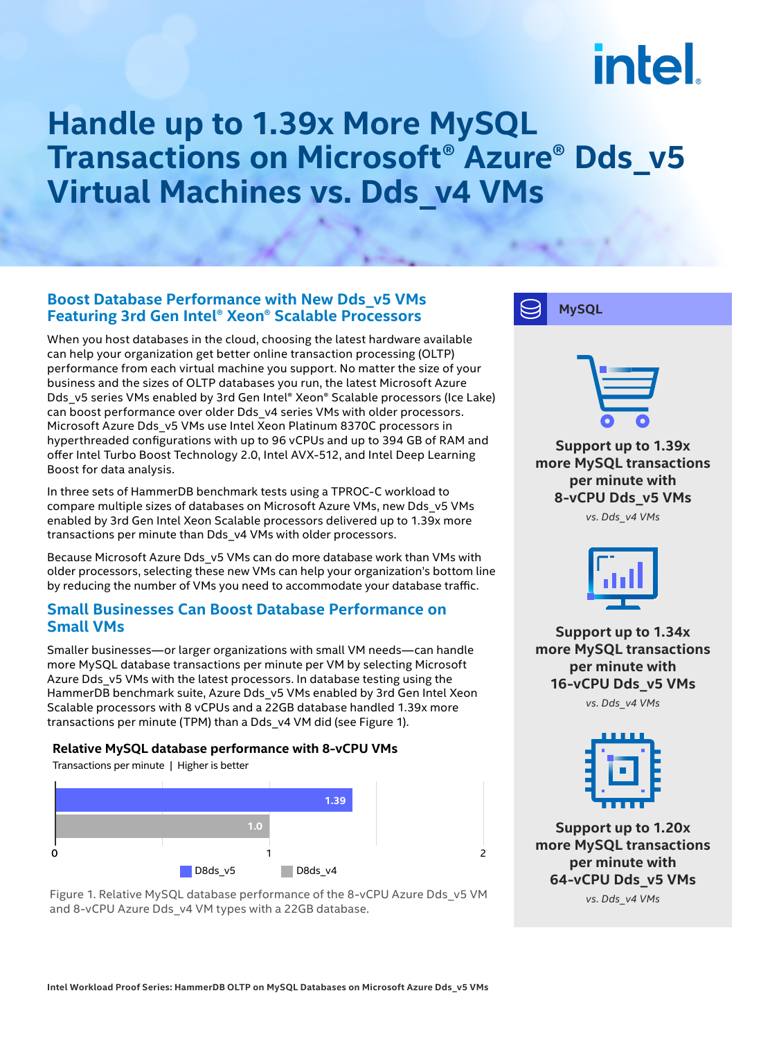# intel.

### **Handle up to 1.39x More MySQL Transactions on Microsoft® Azure® Dds\_v5 Virtual Machines vs. Dds\_v4 VMs**

#### **Boost Database Performance with New Dds\_v5 VMs Featuring 3rd Gen Intel® Xeon® Scalable Processors**

When you host databases in the cloud, choosing the latest hardware available can help your organization get better online transaction processing (OLTP) performance from each virtual machine you support. No matter the size of your business and the sizes of OLTP databases you run, the latest Microsoft Azure Dds\_v5 series VMs enabled by 3rd Gen Intel® Xeon® Scalable processors (Ice Lake) can boost performance over older Dds\_v4 series VMs with older processors. Microsoft Azure Dds\_v5 VMs use Intel Xeon Platinum 8370C processors in hyperthreaded configurations with up to 96 vCPUs and up to 394 GB of RAM and offer Intel Turbo Boost Technology 2.0, Intel AVX-512, and Intel Deep Learning Boost for data analysis.

In three sets of HammerDB benchmark tests using a TPROC-C workload to compare multiple sizes of databases on Microsoft Azure VMs, new Dds\_v5 VMs enabled by 3rd Gen Intel Xeon Scalable processors delivered up to 1.39x more transactions per minute than Dds\_v4 VMs with older processors.

Because Microsoft Azure Dds\_v5 VMs can do more database work than VMs with older processors, selecting these new VMs can help your organization's bottom line by reducing the number of VMs you need to accommodate your database traffic.

#### **Small Businesses Can Boost Database Performance on Small VMs**

Smaller businesses—or larger organizations with small VM needs—can handle more MySQL database transactions per minute per VM by selecting Microsoft Azure Dds\_v5 VMs with the latest processors. In database testing using the HammerDB benchmark suite, Azure Dds v5 VMs enabled by 3rd Gen Intel Xeon Scalable processors with 8 vCPUs and a 22GB database handled 1.39x more transactions per minute (TPM) than a Dds\_v4 VM did (see Figure 1).

#### **Relative MySQL database performance with 8-vCPU VMs**

Transactions per minute | Higher is better



Figure 1. Relative MySQL database performance of the 8-vCPU Azure Dds\_v5 VM and 8-vCPU Azure Dds\_v4 VM types with a 22GB database.



**Support up to 1.34x more MySQL transactions per minute with 16-vCPU Dds\_v5 VMs**

*vs. Dds\_v4 VMs*



**Support up to 1.20x more MySQL transactions per minute with 64-vCPU Dds\_v5 VMs**

*vs. Dds\_v4 VMs*